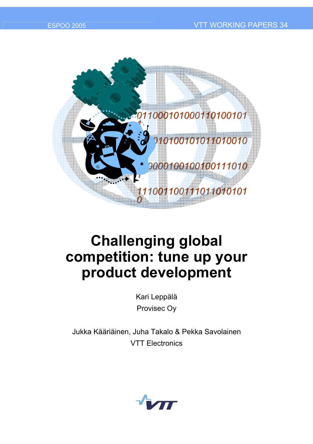

# **Challenging global competition: tune up your product development**

Kari Leppälä Provisec Oy

Jukka Kääriäinen, Juha Takalo & Pekka Savolainen VTT Electronics

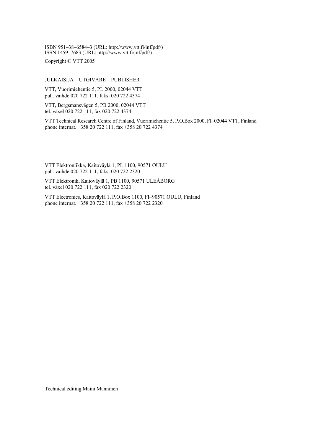ISBN 951-38-6584-3 (URL: http://www.vtt.fi/inf/pdf/)  $\frac{1}{15}$ ISSN 1459–7683 (URL: http://www.vtt.fi/inf/pdf/)

Copyright © VTT 2005

#### JULKAISIJA – UTGIVARE – PUBLISHER

VTT, Vuorimiehentie 5, PL 2000, 02044 VTT puh. vaihde 020 722 111, faksi 020 722 4374

VTT, Bergsmansvägen 5, PB 2000, 02044 VTT tel. växel 020 722 111, fax 020 722 4374

VTT Technical Research Centre of Finland, Vuorimiehentie 5, P.O.Box 2000, FI-02044 VTT, Finland phone internat. +358 20 722 111, fax +358 20 722 4374

VTT Elektroniikka, Kaitoväylä 1, PL 1100, 90571 OULU puh. vaihde 020 722 111, faksi 020 722 2320

VTT Elektronik, Kaitoväylä 1, PB 1100, 90571 ULEÅBORG tel. växel 020 722 111, fax 020 722 2320

VTT Electronics, Kaitoväylä 1, P.O.Box 1100, FI-90571 OULU, Finland phone internat. +358 20 722 111, fax +358 20 722 2320

Technical editing Maini Manninen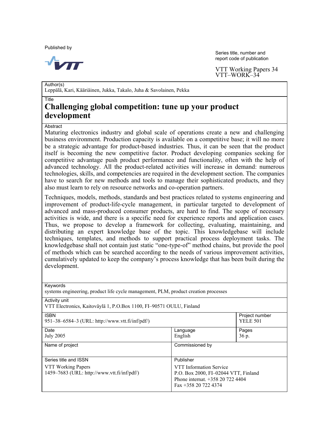Published by



Series title, number and report code of publication

VTT Working Papers 34 VTT-WORK-34

Author(s) Leppälä, Kari, Kääriäinen, Jukka, Takalo, Juha & Savolainen, Pekka

#### Title

### **Challenging global competition: tune up your product development**

#### **Abstract**

Maturing electronics industry and global scale of operations create a new and challenging business environment. Production capacity is available on a competitive base; it will no more be a strategic advantage for product-based industries. Thus, it can be seen that the product itself is becoming the new competitive factor. Product developing companies seeking for competitive advantage push product performance and functionality, often with the help of advanced technology. All the product-related activities will increase in demand: numerous technologies, skills, and competencies are required in the development section. The companies have to search for new methods and tools to manage their sophisticated products, and they also must learn to rely on resource networks and co-operation partners.

Techniques, models, methods, standards and best practices related to systems engineering and improvement of product-life-cycle management, in particular targeted to development of advanced and mass-produced consumer products, are hard to find. The scope of necessary activities is wide, and there is a specific need for experience reports and application cases. Thus, we propose to develop a framework for collecting, evaluating, maintaining, and distributing an expert knowledge base of the topic. This knowledgebase will include techniques, templates, and methods to support practical process deployment tasks. The knowledgebase shall not contain just static "one-type-of" method chains, but provide the pool of methods which can be searched according to the needs of various improvement activities, cumulatively updated to keep the company's process knowledge that has been built during the development.

| Keywords<br>systems engineering, product life cycle management, PLM, product creation processes |                                      |                                   |  |  |
|-------------------------------------------------------------------------------------------------|--------------------------------------|-----------------------------------|--|--|
| Activity unit<br>VTT Electronics, Kaitoväylä 1, P.O.Box 1100, FI-90571 OULU, Finland            |                                      |                                   |  |  |
| <b>ISBN</b><br>951-38-6584-3 (URL: http://www.vtt.fi/inf/pdf/)                                  |                                      | Project number<br><b>YELE 501</b> |  |  |
| Date                                                                                            | Language                             | Pages                             |  |  |
| <b>July 2005</b>                                                                                | English                              | 36 p.                             |  |  |
| Name of project                                                                                 | Commissioned by                      |                                   |  |  |
| Series title and ISSN                                                                           | Publisher                            |                                   |  |  |
| VTT Working Papers                                                                              | VTT Information Service              |                                   |  |  |
| 1459-7683 (URL: http://www.vtt.fi/inf/pdf/)                                                     | P.O. Box 2000, FI-02044 VTT, Finland |                                   |  |  |
|                                                                                                 | Phone internat. $+358207224404$      |                                   |  |  |
|                                                                                                 | Fax $+358$ 20 722 4374               |                                   |  |  |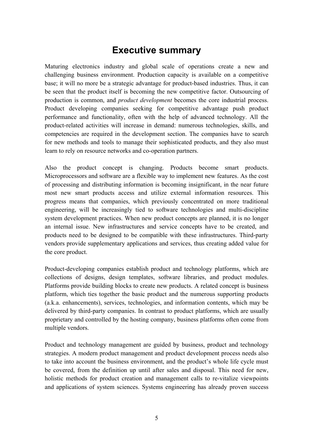## **Executive summary**

Maturing electronics industry and global scale of operations create a new and challenging business environment. Production capacity is available on a competitive base; it will no more be a strategic advantage for product-based industries. Thus, it can be seen that the product itself is becoming the new competitive factor. Outsourcing of production is common, and *product development* becomes the core industrial process. Product developing companies seeking for competitive advantage push product performance and functionality, often with the help of advanced technology. All the product-related activities will increase in demand: numerous technologies, skills, and competencies are required in the development section. The companies have to search for new methods and tools to manage their sophisticated products, and they also must learn to rely on resource networks and co-operation partners.

Also the product concept is changing. Products become smart products. Microprocessors and software are a flexible way to implement new features. As the cost of processing and distributing information is becoming insignificant, in the near future most new smart products access and utilize external information resources. This progress means that companies, which previously concentrated on more traditional engineering, will be increasingly tied to software technologies and multi-discipline system development practices. When new product concepts are planned, it is no longer an internal issue. New infrastructures and service concepts have to be created, and products need to be designed to be compatible with these infrastructures. Third-party vendors provide supplementary applications and services, thus creating added value for the core product.

Product-developing companies establish product and technology platforms, which are collections of designs, design templates, software libraries, and product modules. Platforms provide building blocks to create new products. A related concept is business platform, which ties together the basic product and the numerous supporting products (a.k.a. enhancements), services, technologies, and information contents, which may be delivered by third-party companies. In contrast to product platforms, which are usually proprietary and controlled by the hosting company, business platforms often come from multiple vendors.

Product and technology management are guided by business, product and technology strategies. A modern product management and product development process needs also to take into account the business environment, and the product's whole life cycle must be covered, from the definition up until after sales and disposal. This need for new, holistic methods for product creation and management calls to re-vitalize viewpoints and applications of system sciences. Systems engineering has already proven success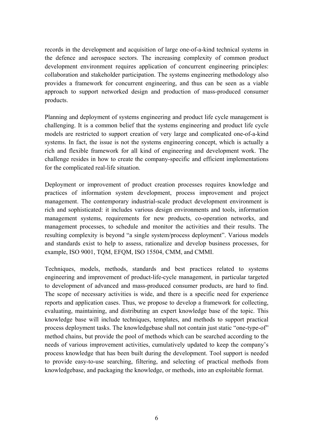records in the development and acquisition of large one-of-a-kind technical systems in the defence and aerospace sectors. The increasing complexity of common product development environment requires application of concurrent engineering principles: collaboration and stakeholder participation. The systems engineering methodology also provides a framework for concurrent engineering, and thus can be seen as a viable approach to support networked design and production of mass-produced consumer products.

Planning and deployment of systems engineering and product life cycle management is challenging. It is a common belief that the systems engineering and product life cycle models are restricted to support creation of very large and complicated one-of-a-kind systems. In fact, the issue is not the systems engineering concept, which is actually a rich and flexible framework for all kind of engineering and development work. The challenge resides in how to create the company-specific and efficient implementations for the complicated real-life situation.

Deployment or improvement of product creation processes requires knowledge and practices of information system development, process improvement and project management. The contemporary industrial-scale product development environment is rich and sophisticated: it includes various design environments and tools, information management systems, requirements for new products, co-operation networks, and management processes, to schedule and monitor the activities and their results. The resulting complexity is beyond "a single system/process deployment". Various models and standards exist to help to assess, rationalize and develop business processes, for example, ISO 9001, TQM, EFQM, ISO 15504, CMM, and CMMI.

Techniques, models, methods, standards and best practices related to systems engineering and improvement of product-life-cycle management, in particular targeted to development of advanced and mass-produced consumer products, are hard to find. The scope of necessary activities is wide, and there is a specific need for experience reports and application cases. Thus, we propose to develop a framework for collecting, evaluating, maintaining, and distributing an expert knowledge base of the topic. This knowledge base will include techniques, templates, and methods to support practical process deployment tasks. The knowledgebase shall not contain just static "one-type-of" method chains, but provide the pool of methods which can be searched according to the needs of various improvement activities, cumulatively updated to keep the company's process knowledge that has been built during the development. Tool support is needed to provide easy-to-use searching, filtering, and selecting of practical methods from knowledgebase, and packaging the knowledge, or methods, into an exploitable format.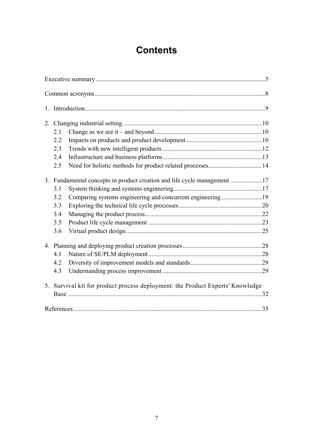## **Contents**

| 1. |                                                                          |                                                                                |     |
|----|--------------------------------------------------------------------------|--------------------------------------------------------------------------------|-----|
|    |                                                                          |                                                                                |     |
|    | 2.1                                                                      |                                                                                |     |
|    | 2.2                                                                      |                                                                                |     |
|    | 2.3                                                                      |                                                                                |     |
|    | 2.4                                                                      |                                                                                |     |
|    | 2.5                                                                      |                                                                                |     |
|    | 3. Fundamental concepts in product creation and life cycle management 17 |                                                                                |     |
|    | 3.1                                                                      |                                                                                |     |
|    | 3.2                                                                      | Comparing systems engineering and concurrent engineering19                     |     |
|    | 3.3                                                                      |                                                                                |     |
|    | 3.4                                                                      |                                                                                |     |
|    | 3.5                                                                      |                                                                                |     |
|    | 3.6                                                                      |                                                                                |     |
|    |                                                                          |                                                                                |     |
|    | 4.1                                                                      |                                                                                |     |
|    | 4.2                                                                      |                                                                                |     |
|    | 4.3                                                                      |                                                                                |     |
|    |                                                                          | 5. Survival kit for product process deployment: the Product Experts' Knowledge |     |
|    |                                                                          |                                                                                |     |
|    |                                                                          |                                                                                | .35 |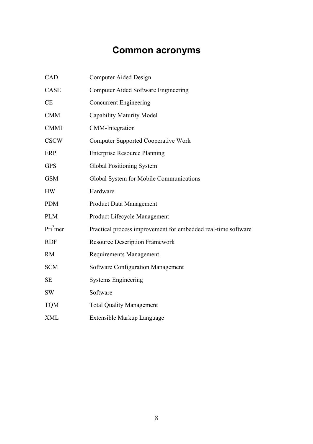## **Common acronyms**

| CAD                  | Computer Aided Design                                         |
|----------------------|---------------------------------------------------------------|
| CASE                 | Computer Aided Software Engineering                           |
| CE                   | <b>Concurrent Engineering</b>                                 |
| <b>CMM</b>           | <b>Capability Maturity Model</b>                              |
| <b>CMMI</b>          | <b>CMM-Integration</b>                                        |
| <b>CSCW</b>          | <b>Computer Supported Cooperative Work</b>                    |
| <b>ERP</b>           | <b>Enterprise Resource Planning</b>                           |
| <b>GPS</b>           | Global Positioning System                                     |
| <b>GSM</b>           | Global System for Mobile Communications                       |
| <b>HW</b>            | Hardware                                                      |
| <b>PDM</b>           | <b>Product Data Management</b>                                |
| <b>PLM</b>           | Product Lifecycle Management                                  |
| Pri <sup>2</sup> mer | Practical process improvement for embedded real-time software |
| <b>RDF</b>           | <b>Resource Description Framework</b>                         |
| <b>RM</b>            | <b>Requirements Management</b>                                |
| <b>SCM</b>           | Software Configuration Management                             |
| <b>SE</b>            | <b>Systems Engineering</b>                                    |
| <b>SW</b>            | Software                                                      |
| <b>TQM</b>           | <b>Total Quality Management</b>                               |
| <b>XML</b>           | Extensible Markup Language                                    |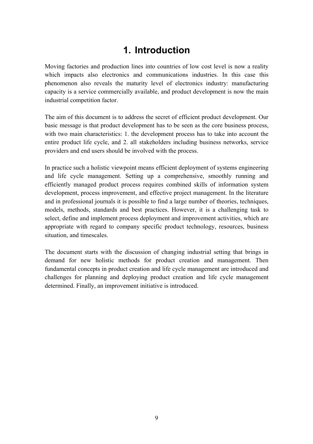## **1. Introduction**

Moving factories and production lines into countries of low cost level is now a reality which impacts also electronics and communications industries. In this case this phenomenon also reveals the maturity level of electronics industry: manufacturing capacity is a service commercially available, and product development is now the main industrial competition factor.

The aim of this document is to address the secret of efficient product development. Our basic message is that product development has to be seen as the core business process, with two main characteristics: 1. the development process has to take into account the entire product life cycle, and 2. all stakeholders including business networks, service providers and end users should be involved with the process.

In practice such a holistic viewpoint means efficient deployment of systems engineering and life cycle management. Setting up a comprehensive, smoothly running and efficiently managed product process requires combined skills of information system development, process improvement, and effective project management. In the literature and in professional journals it is possible to find a large number of theories, techniques, models, methods, standards and best practices. However, it is a challenging task to select, define and implement process deployment and improvement activities, which are appropriate with regard to company specific product technology, resources, business situation, and timescales.

The document starts with the discussion of changing industrial setting that brings in demand for new holistic methods for product creation and management. Then fundamental concepts in product creation and life cycle management are introduced and challenges for planning and deploying product creation and life cycle management determined. Finally, an improvement initiative is introduced.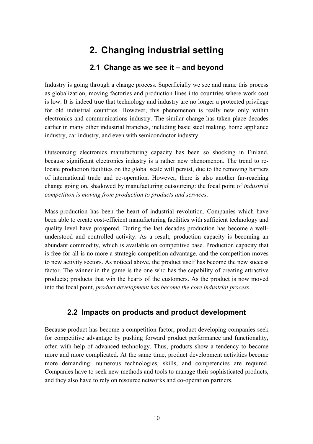## **2. Changing industrial setting**

### **2.1 Change as we see it – and beyond**

Industry is going through a change process. Superficially we see and name this process as globalization, moving factories and production lines into countries where work cost is low. It is indeed true that technology and industry are no longer a protected privilege for old industrial countries. However, this phenomenon is really new only within electronics and communications industry. The similar change has taken place decades earlier in many other industrial branches, including basic steel making, home appliance industry, car industry, and even with semiconductor industry.

Outsourcing electronics manufacturing capacity has been so shocking in Finland, because significant electronics industry is a rather new phenomenon. The trend to relocate production facilities on the global scale will persist, due to the removing barriers of international trade and co-operation. However, there is also another far-reaching change going on, shadowed by manufacturing outsourcing: the focal point of *industrial competition is moving from production to products and services*.

Mass-production has been the heart of industrial revolution. Companies which have been able to create cost-efficient manufacturing facilities with sufficient technology and quality level have prospered. During the last decades production has become a wellunderstood and controlled activity. As a result, production capacity is becoming an abundant commodity, which is available on competitive base. Production capacity that is free-for-all is no more a strategic competition advantage, and the competition moves to new activity sectors. As noticed above, the product itself has become the new success factor. The winner in the game is the one who has the capability of creating attractive products; products that win the hearts of the customers. As the product is now moved into the focal point, *product development has become the core industrial process*.

### **2.2 Impacts on products and product development**

Because product has become a competition factor, product developing companies seek for competitive advantage by pushing forward product performance and functionality, often with help of advanced technology. Thus, products show a tendency to become more and more complicated. At the same time, product development activities become more demanding: numerous technologies, skills, and competencies are required. Companies have to seek new methods and tools to manage their sophisticated products, and they also have to rely on resource networks and co-operation partners.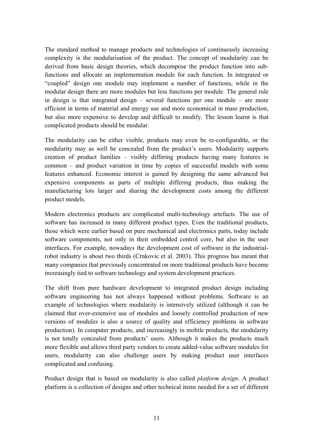The standard method to manage products and technologies of continuously increasing complexity is the modularisation of the product. The concept of modularity can be derived from basic design theories, which decompose the product function into subfunctions and allocate an implementation module for each function. In integrated or ìcoupledî design one module may implement a number of functions, while in the modular design there are more modules but less functions per module. The general rule in design is that integrated design  $-$  several functions per one module  $-$  are more efficient in terms of material and energy use and more economical in mass production, but also more expensive to develop and difficult to modify. The lesson learnt is that complicated products should be modular.

The modularity can be either visible, products may even be re-configurable, or the modularity may as well be concealed from the product's users. Modularity supports creation of product families  $-$  visibly differing products having many features in  $common - and product variation in time by copies of successful models with some$ features enhanced. Economic interest is gained by designing the same advanced but expensive components as parts of multiple differing products, thus making the manufacturing lots larger and sharing the development costs among the different product models.

Modern electronics products are complicated multi-technology artefacts. The use of software has increased in many different product types. Even the traditional products, those which were earlier based on pure mechanical and electronics parts, today include software components, not only in their embedded control core, but also in the user interfaces. For example, nowadays the development cost of software in the industrialrobot industry is about two thirds (Crnkovic et al. 2003). This progress has meant that many companies that previously concentrated on more traditional products have become increasingly tied to software technology and system development practices.

The shift from pure hardware development to integrated product design including software engineering has not always happened without problems. Software is an example of technologies where modularity is intensively utilized (although it can be claimed that over-extensive use of modules and loosely controlled production of new versions of modules is also a source of quality and efficiency problems in software production). In computer products, and increasingly in mobile products, the modularity is not totally concealed from products' users. Although it makes the products much more flexible and allows third party vendors to create added-value software modules for users, modularity can also challenge users by making product user interfaces complicated and confusing.

Product design that is based on modularity is also called *platform design*. A product platform is a collection of designs and other technical items needed for a set of different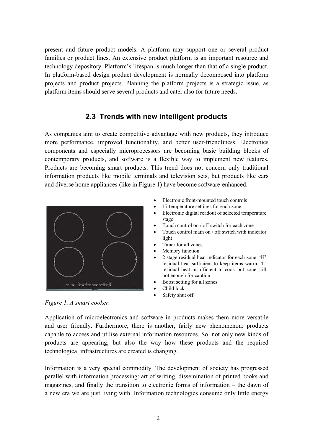present and future product models. A platform may support one or several product families or product lines. An extensive product platform is an important resource and technology depository. Platform's lifespan is much longer than that of a single product. In platform-based design product development is normally decomposed into platform projects and product projects. Planning the platform projects is a strategic issue, as platform items should serve several products and cater also for future needs.

### **2.3 Trends with new intelligent products**

As companies aim to create competitive advantage with new products, they introduce more performance, improved functionality, and better user-friendliness. Electronics components and especially microprocessors are becoming basic building blocks of contemporary products, and software is a flexible way to implement new features. Products are becoming smart products. This trend does not concern only traditional information products like mobile terminals and television sets, but products like cars and diverse home appliances (like in Figure 1) have become software-enhanced.



- Electronic front-mounted touch controls
- 17 temperature settings for each zone
- Electronic digital readout of selected temperature stage
- Touch control on / off switch for each zone
- Touch control main on / off switch with indicator light
- Timer for all zones
- Memory function
- 2 stage residual heat indicator for each zone: 'H' residual heat sufficient to keep items warm, 'h' residual heat insufficient to cook but zone still hot enough for caution
- Boost setting for all zones
- Child lock
- Safety shut off

*Figure 1. A smart cooker.* 

Application of microelectronics and software in products makes them more versatile and user friendly. Furthermore, there is another, fairly new phenomenon: products capable to access and utilise external information resources. So, not only new kinds of products are appearing, but also the way how these products and the required technological infrastructures are created is changing.

Information is a very special commodity. The development of society has progressed parallel with information processing: art of writing, dissemination of printed books and magazines, and finally the transition to electronic forms of information  $-$  the dawn of a new era we are just living with. Information technologies consume only little energy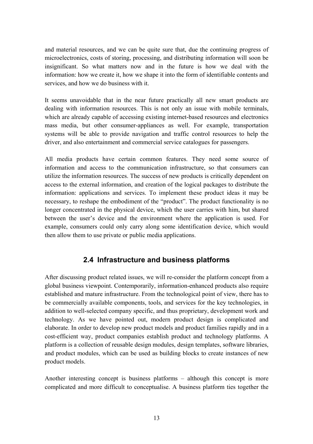and material resources, and we can be quite sure that, due the continuing progress of microelectronics, costs of storing, processing, and distributing information will soon be insignificant. So what matters now and in the future is how we deal with the information: how we create it, how we shape it into the form of identifiable contents and services, and how we do business with it.

It seems unavoidable that in the near future practically all new smart products are dealing with information resources. This is not only an issue with mobile terminals, which are already capable of accessing existing internet-based resources and electronics mass media, but other consumer-appliances as well. For example, transportation systems will be able to provide navigation and traffic control resources to help the driver, and also entertainment and commercial service catalogues for passengers.

All media products have certain common features. They need some source of information and access to the communication infrastructure, so that consumers can utilize the information resources. The success of new products is critically dependent on access to the external information, and creation of the logical packages to distribute the information: applications and services. To implement these product ideas it may be necessary, to reshape the embodiment of the "product". The product functionality is no longer concentrated in the physical device, which the user carries with him, but shared between the user's device and the environment where the application is used. For example, consumers could only carry along some identification device, which would then allow them to use private or public media applications.

### **2.4 Infrastructure and business platforms**

After discussing product related issues, we will re-consider the platform concept from a global business viewpoint. Contemporarily, information-enhanced products also require established and mature infrastructure. From the technological point of view, there has to be commercially available components, tools, and services for the key technologies, in addition to well-selected company specific, and thus proprietary, development work and technology. As we have pointed out, modern product design is complicated and elaborate. In order to develop new product models and product families rapidly and in a cost-efficient way, product companies establish product and technology platforms. A platform is a collection of reusable design modules, design templates, software libraries, and product modules, which can be used as building blocks to create instances of new product models.

Another interesting concept is business platforms  $-$  although this concept is more complicated and more difficult to conceptualise. A business platform ties together the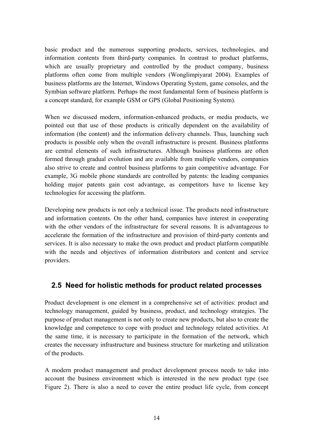basic product and the numerous supporting products, services, technologies, and information contents from third-party companies. In contrast to product platforms, which are usually proprietary and controlled by the product company, business platforms often come from multiple vendors (Wonglimpiyarat 2004). Examples of business platforms are the Internet, Windows Operating System, game consoles, and the Symbian software platform. Perhaps the most fundamental form of business platform is a concept standard, for example GSM or GPS (Global Positioning System).

When we discussed modern, information-enhanced products, or media products, we pointed out that use of those products is critically dependent on the availability of information (the content) and the information delivery channels. Thus, launching such products is possible only when the overall infrastructure is present. Business platforms are central elements of such infrastructures. Although business platforms are often formed through gradual evolution and are available from multiple vendors, companies also strive to create and control business platforms to gain competitive advantage. For example, 3G mobile phone standards are controlled by patents: the leading companies holding major patents gain cost advantage, as competitors have to license key technologies for accessing the platform.

Developing new products is not only a technical issue. The products need infrastructure and information contents. On the other hand, companies have interest in cooperating with the other vendors of the infrastructure for several reasons. It is advantageous to accelerate the formation of the infrastructure and provision of third-party contents and services. It is also necessary to make the own product and product platform compatible with the needs and objectives of information distributors and content and service providers.

### **2.5 Need for holistic methods for product related processes**

Product development is one element in a comprehensive set of activities: product and technology management, guided by business, product, and technology strategies. The purpose of product management is not only to create new products, but also to create the knowledge and competence to cope with product and technology related activities. At the same time, it is necessary to participate in the formation of the network, which creates the necessary infrastructure and business structure for marketing and utilization of the products.

A modern product management and product development process needs to take into account the business environment which is interested in the new product type (see Figure 2). There is also a need to cover the entire product life cycle, from concept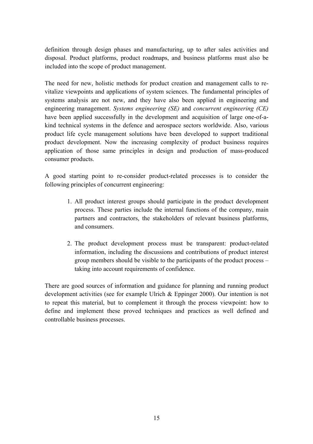definition through design phases and manufacturing, up to after sales activities and disposal. Product platforms, product roadmaps, and business platforms must also be included into the scope of product management.

The need for new, holistic methods for product creation and management calls to revitalize viewpoints and applications of system sciences. The fundamental principles of systems analysis are not new, and they have also been applied in engineering and engineering management. *Systems engineering (SE)* and *concurrent engineering (CE)* have been applied successfully in the development and acquisition of large one-of-akind technical systems in the defence and aerospace sectors worldwide. Also, various product life cycle management solutions have been developed to support traditional product development. Now the increasing complexity of product business requires application of those same principles in design and production of mass-produced consumer products.

A good starting point to re-consider product-related processes is to consider the following principles of concurrent engineering:

- 1. All product interest groups should participate in the product development process. These parties include the internal functions of the company, main partners and contractors, the stakeholders of relevant business platforms, and consumers.
- 2. The product development process must be transparent: product-related information, including the discussions and contributions of product interest group members should be visible to the participants of the product process  $$ taking into account requirements of confidence.

There are good sources of information and guidance for planning and running product development activities (see for example Ulrich & Eppinger 2000). Our intention is not to repeat this material, but to complement it through the process viewpoint: how to define and implement these proved techniques and practices as well defined and controllable business processes.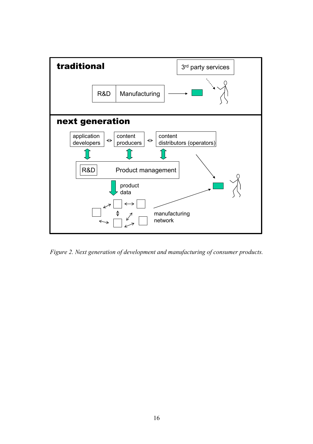

*Figure 2. Next generation of development and manufacturing of consumer products.*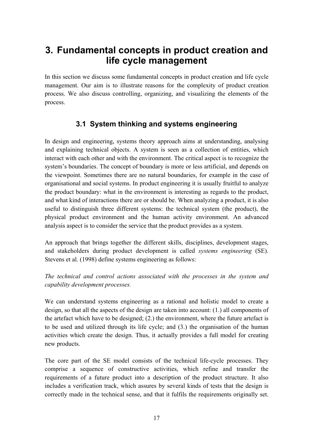### **3. Fundamental concepts in product creation and life cycle management**

In this section we discuss some fundamental concepts in product creation and life cycle management. Our aim is to illustrate reasons for the complexity of product creation process. We also discuss controlling, organizing, and visualizing the elements of the process.

### **3.1 System thinking and systems engineering**

In design and engineering, systems theory approach aims at understanding, analysing and explaining technical objects. A system is seen as a collection of entities, which interact with each other and with the environment. The critical aspect is to recognize the system's boundaries. The concept of boundary is more or less artificial, and depends on the viewpoint. Sometimes there are no natural boundaries, for example in the case of organisational and social systems. In product engineering it is usually fruitful to analyze the product boundary: what in the environment is interesting as regards to the product, and what kind of interactions there are or should be. When analyzing a product, it is also useful to distinguish three different systems: the technical system (the product), the physical product environment and the human activity environment. An advanced analysis aspect is to consider the service that the product provides as a system.

An approach that brings together the different skills, disciplines, development stages, and stakeholders during product development is called *systems engineering* (SE). Stevens et al. (1998) define systems engineering as follows:

*The technical and control actions associated with the processes in the system and capability development processes.* 

We can understand systems engineering as a rational and holistic model to create a design, so that all the aspects of the design are taken into account: (1.) all components of the artefact which have to be designed; (2.) the environment, where the future artefact is to be used and utilized through its life cycle; and (3.) the organisation of the human activities which create the design. Thus, it actually provides a full model for creating new products.

The core part of the SE model consists of the technical life-cycle processes. They comprise a sequence of constructive activities, which refine and transfer the requirements of a future product into a description of the product structure. It also includes a verification track, which assures by several kinds of tests that the design is correctly made in the technical sense, and that it fulfils the requirements originally set.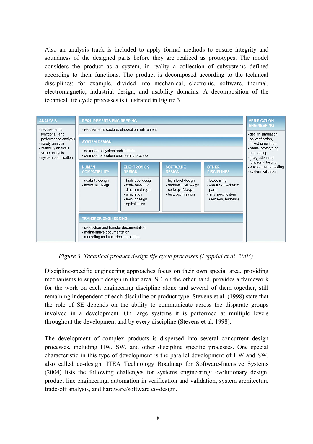Also an analysis track is included to apply formal methods to ensure integrity and soundness of the designed parts before they are realized as prototypes. The model considers the product as a system, in reality a collection of subsystems defined according to their functions. The product is decomposed according to the technical disciplines: for example, divided into mechanical, electronic, software, thermal, electromagnetic, industrial design, and usability domains. A decomposition of the technical life cycle processes is illustrated in Figure 3.



*Figure 3. Technical product design life cycle processes (Lepp‰l‰ et al. 2003).* 

Discipline-specific engineering approaches focus on their own special area, providing mechanisms to support design in that area. SE, on the other hand, provides a framework for the work on each engineering discipline alone and several of them together, still remaining independent of each discipline or product type. Stevens et al. (1998) state that the role of SE depends on the ability to communicate across the disparate groups involved in a development. On large systems it is performed at multiple levels throughout the development and by every discipline (Stevens et al. 1998).

The development of complex products is dispersed into several concurrent design processes, including HW, SW, and other discipline specific processes. One special characteristic in this type of development is the parallel development of HW and SW, also called co-design. ITEA Technology Roadmap for Software-Intensive Systems (2004) lists the following challenges for systems engineering: evolutionary design, product line engineering, automation in verification and validation, system architecture trade-off analysis, and hardware/software co-design.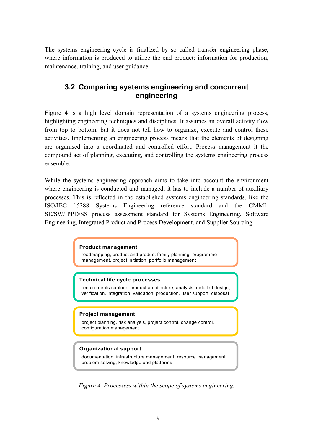The systems engineering cycle is finalized by so called transfer engineering phase, where information is produced to utilize the end product: information for production, maintenance, training, and user guidance.

#### **3.2 Comparing systems engineering and concurrent engineering**

Figure 4 is a high level domain representation of a systems engineering process, highlighting engineering techniques and disciplines. It assumes an overall activity flow from top to bottom, but it does not tell how to organize, execute and control these activities. Implementing an engineering process means that the elements of designing are organised into a coordinated and controlled effort. Process management it the compound act of planning, executing, and controlling the systems engineering process ensemble.

While the systems engineering approach aims to take into account the environment where engineering is conducted and managed, it has to include a number of auxiliary processes. This is reflected in the established systems engineering standards, like the ISO/IEC 15288 Systems Engineering reference standard and the CMMI-SE/SW/IPPD/SS process assessment standard for Systems Engineering, Software Engineering, Integrated Product and Process Development, and Supplier Sourcing.

#### **Product management**

roadmapping, product and product family planning, programme management, project initiation, portfolio management

#### **Technical life cycle processes**

requirements capture, product architecture, analysis, detailed design, verification, integration, validation, production, user support, disposal

#### **Project management**

project planning, risk analysis, project control, change control, configuration management

#### **Organizational support**

documentation, infrastructure management, resource management, problem solving, knowledge and platforms

*Figure 4. Processess within the scope of systems engineering.*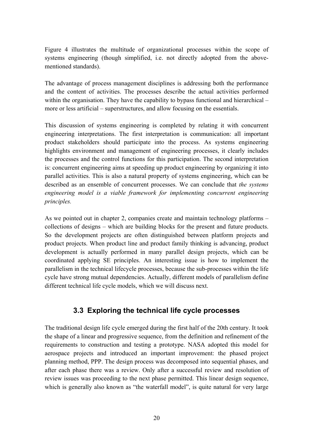Figure 4 illustrates the multitude of organizational processes within the scope of systems engineering (though simplified, i.e. not directly adopted from the abovementioned standards).

The advantage of process management disciplines is addressing both the performance and the content of activities. The processes describe the actual activities performed within the organisation. They have the capability to bypass functional and hierarchical  $$ more or less artificial – superstructures, and allow focusing on the essentials.

This discussion of systems engineering is completed by relating it with concurrent engineering interpretations. The first interpretation is communication: all important product stakeholders should participate into the process. As systems engineering highlights environment and management of engineering processes, it clearly includes the processes and the control functions for this participation. The second interpretation is: concurrent engineering aims at speeding up product engineering by organizing it into parallel activities. This is also a natural property of systems engineering, which can be described as an ensemble of concurrent processes. We can conclude that *the systems engineering model is a viable framework for implementing concurrent engineering principles.* 

As we pointed out in chapter 2, companies create and maintain technology platforms  $$ collections of designs – which are building blocks for the present and future products. So the development projects are often distinguished between platform projects and product projects. When product line and product family thinking is advancing, product development is actually performed in many parallel design projects, which can be coordinated applying SE principles. An interesting issue is how to implement the parallelism in the technical lifecycle processes, because the sub-processes within the life cycle have strong mutual dependencies. Actually, different models of parallelism define different technical life cycle models, which we will discuss next.

### **3.3 Exploring the technical life cycle processes**

The traditional design life cycle emerged during the first half of the 20th century. It took the shape of a linear and progressive sequence, from the definition and refinement of the requirements to construction and testing a prototype. NASA adopted this model for aerospace projects and introduced an important improvement: the phased project planning method, PPP. The design process was decomposed into sequential phases, and after each phase there was a review. Only after a successful review and resolution of review issues was proceeding to the next phase permitted. This linear design sequence, which is generally also known as "the waterfall model", is quite natural for very large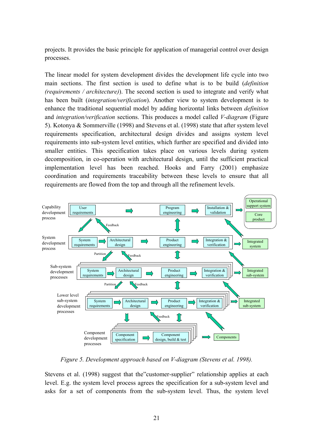projects. It provides the basic principle for application of managerial control over design processes.

The linear model for system development divides the development life cycle into two main sections. The first section is used to define what is to be build (*definition (requirements / architecture)*). The second section is used to integrate and verify what has been built (*integration/verification*). Another view to system development is to enhance the traditional sequential model by adding horizontal links between *definition* and *integration/verification* sections. This produces a model called *V-diagram* (Figure 5). Kotonya & Sommerville (1998) and Stevens et al. (1998) state that after system level requirements specification, architectural design divides and assigns system level requirements into sub-system level entities, which further are specified and divided into smaller entities. This specification takes place on various levels during system decomposition, in co-operation with architectural design, until the sufficient practical implementation level has been reached. Hooks and Farry (2001) emphasize coordination and requirements traceability between these levels to ensure that all requirements are flowed from the top and through all the refinement levels.



*Figure 5. Development approach based on V-diagram (Stevens et al. 1998).* 

Stevens et al. (1998) suggest that the customer-supplier relationship applies at each level. E.g. the system level process agrees the specification for a sub-system level and asks for a set of components from the sub-system level. Thus, the system level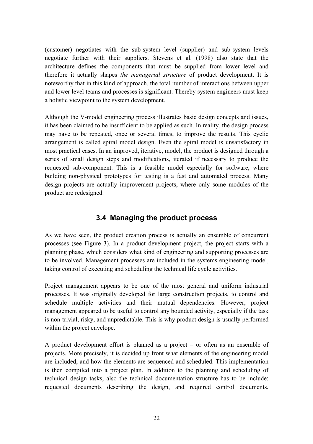(customer) negotiates with the sub-system level (supplier) and sub-system levels negotiate further with their suppliers. Stevens et al. (1998) also state that the architecture defines the components that must be supplied from lower level and therefore it actually shapes *the managerial structure* of product development. It is noteworthy that in this kind of approach, the total number of interactions between upper and lower level teams and processes is significant. Thereby system engineers must keep a holistic viewpoint to the system development.

Although the V-model engineering process illustrates basic design concepts and issues, it has been claimed to be insufficient to be applied as such. In reality, the design process may have to be repeated, once or several times, to improve the results. This cyclic arrangement is called spiral model design. Even the spiral model is unsatisfactory in most practical cases. In an improved, iterative, model, the product is designed through a series of small design steps and modifications, iterated if necessary to produce the requested sub-component. This is a feasible model especially for software, where building non-physical prototypes for testing is a fast and automated process. Many design projects are actually improvement projects, where only some modules of the product are redesigned.

### **3.4 Managing the product process**

As we have seen, the product creation process is actually an ensemble of concurrent processes (see Figure 3). In a product development project, the project starts with a planning phase, which considers what kind of engineering and supporting processes are to be involved. Management processes are included in the systems engineering model, taking control of executing and scheduling the technical life cycle activities.

Project management appears to be one of the most general and uniform industrial processes. It was originally developed for large construction projects, to control and schedule multiple activities and their mutual dependencies. However, project management appeared to be useful to control any bounded activity, especially if the task is non-trivial, risky, and unpredictable. This is why product design is usually performed within the project envelope.

A product development effort is planned as a project  $-$  or often as an ensemble of projects. More precisely, it is decided up front what elements of the engineering model are included, and how the elements are sequenced and scheduled. This implementation is then compiled into a project plan. In addition to the planning and scheduling of technical design tasks, also the technical documentation structure has to be include: requested documents describing the design, and required control documents.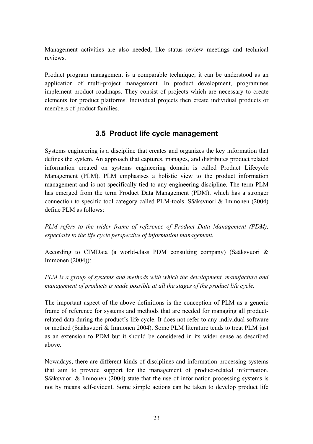Management activities are also needed, like status review meetings and technical reviews.

Product program management is a comparable technique; it can be understood as an application of multi-project management. In product development, programmes implement product roadmaps. They consist of projects which are necessary to create elements for product platforms. Individual projects then create individual products or members of product families.

### **3.5 Product life cycle management**

Systems engineering is a discipline that creates and organizes the key information that defines the system. An approach that captures, manages, and distributes product related information created on systems engineering domain is called Product Lifecycle Management (PLM). PLM emphasises a holistic view to the product information management and is not specifically tied to any engineering discipline. The term PLM has emerged from the term Product Data Management (PDM), which has a stronger connection to specific tool category called PLM-tools. Sääksvuori  $\&$  Immonen (2004) define PLM as follows:

*PLM refers to the wider frame of reference of Product Data Management (PDM), especially to the life cycle perspective of information management.* 

According to CIMData (a world-class PDM consulting company) (Sääksvuori & Immonen (2004)):

*PLM is a group of systems and methods with which the development, manufacture and management of products is made possible at all the stages of the product life cycle.* 

The important aspect of the above definitions is the conception of PLM as a generic frame of reference for systems and methods that are needed for managing all productrelated data during the product's life cycle. It does not refer to any individual software or method (Sääksvuori & Immonen 2004). Some PLM literature tends to treat PLM just as an extension to PDM but it should be considered in its wider sense as described above.

Nowadays, there are different kinds of disciplines and information processing systems that aim to provide support for the management of product-related information. Sääksvuori & Immonen (2004) state that the use of information processing systems is not by means self-evident. Some simple actions can be taken to develop product life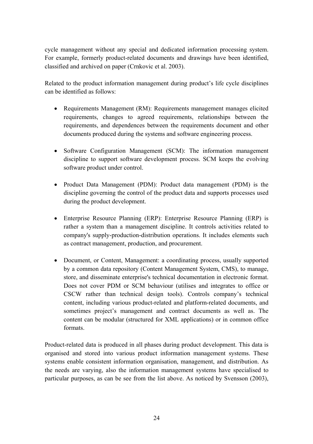cycle management without any special and dedicated information processing system. For example, formerly product-related documents and drawings have been identified, classified and archived on paper (Crnkovic et al. 2003).

Related to the product information management during product's life cycle disciplines can be identified as follows:

- Requirements Management (RM): Requirements management manages elicited requirements, changes to agreed requirements, relationships between the requirements, and dependences between the requirements document and other documents produced during the systems and software engineering process.
- Software Configuration Management (SCM): The information management discipline to support software development process. SCM keeps the evolving software product under control.
- Product Data Management (PDM): Product data management (PDM) is the discipline governing the control of the product data and supports processes used during the product development.
- Enterprise Resource Planning (ERP): Enterprise Resource Planning (ERP) is rather a system than a management discipline. It controls activities related to company's supply-production-distribution operations. It includes elements such as contract management, production, and procurement.
- Document, or Content, Management: a coordinating process, usually supported by a common data repository (Content Management System, CMS), to manage, store, and disseminate enterprise's technical documentation in electronic format. Does not cover PDM or SCM behaviour (utilises and integrates to office or CSCW rather than technical design tools). Controls company's technical content, including various product-related and platform-related documents, and sometimes project's management and contract documents as well as. The content can be modular (structured for XML applications) or in common office formats.

Product-related data is produced in all phases during product development. This data is organised and stored into various product information management systems. These systems enable consistent information organisation, management, and distribution. As the needs are varying, also the information management systems have specialised to particular purposes, as can be see from the list above. As noticed by Svensson (2003),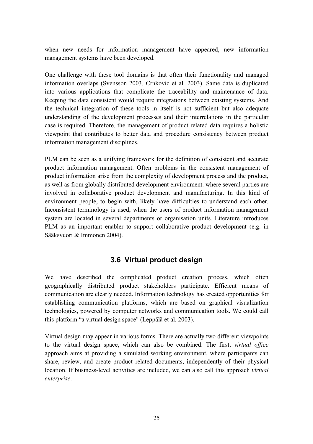when new needs for information management have appeared, new information management systems have been developed.

One challenge with these tool domains is that often their functionality and managed information overlaps (Svensson 2003, Crnkovic et al. 2003). Same data is duplicated into various applications that complicate the traceability and maintenance of data. Keeping the data consistent would require integrations between existing systems. And the technical integration of these tools in itself is not sufficient but also adequate understanding of the development processes and their interrelations in the particular case is required. Therefore, the management of product related data requires a holistic viewpoint that contributes to better data and procedure consistency between product information management disciplines.

PLM can be seen as a unifying framework for the definition of consistent and accurate product information management. Often problems in the consistent management of product information arise from the complexity of development process and the product, as well as from globally distributed development environment. where several parties are involved in collaborative product development and manufacturing. In this kind of environment people, to begin with, likely have difficulties to understand each other. Inconsistent terminology is used, when the users of product information management system are located in several departments or organisation units. Literature introduces PLM as an important enabler to support collaborative product development (e.g. in Sääksvuori & Immonen 2004).

### **3.6 Virtual product design**

We have described the complicated product creation process, which often geographically distributed product stakeholders participate. Efficient means of communication are clearly needed. Information technology has created opportunities for establishing communication platforms, which are based on graphical visualization technologies, powered by computer networks and communication tools. We could call this platform "a virtual design space" (Leppälä et al. 2003).

Virtual design may appear in various forms. There are actually two different viewpoints to the virtual design space, which can also be combined. The first, *virtual office* approach aims at providing a simulated working environment, where participants can share, review, and create product related documents, independently of their physical location. If business-level activities are included, we can also call this approach *virtual enterprise*.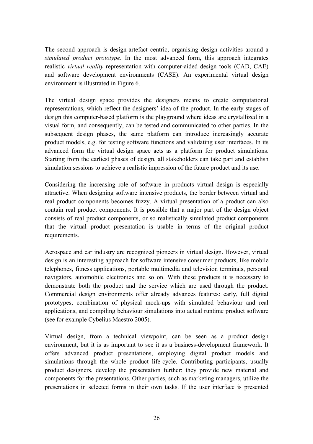The second approach is design-artefact centric, organising design activities around a *simulated product prototype*. In the most advanced form, this approach integrates realistic *virtual reality* representation with computer-aided design tools (CAD, CAE) and software development environments (CASE). An experimental virtual design environment is illustrated in Figure 6.

The virtual design space provides the designers means to create computational representations, which reflect the designers' idea of the product. In the early stages of design this computer-based platform is the playground where ideas are crystallized in a visual form, and consequently, can be tested and communicated to other parties. In the subsequent design phases, the same platform can introduce increasingly accurate product models, e.g. for testing software functions and validating user interfaces. In its advanced form the virtual design space acts as a platform for product simulations. Starting from the earliest phases of design, all stakeholders can take part and establish simulation sessions to achieve a realistic impression of the future product and its use.

Considering the increasing role of software in products virtual design is especially attractive. When designing software intensive products, the border between virtual and real product components becomes fuzzy. A virtual presentation of a product can also contain real product components. It is possible that a major part of the design object consists of real product components, or so realistically simulated product components that the virtual product presentation is usable in terms of the original product requirements.

Aerospace and car industry are recognized pioneers in virtual design. However, virtual design is an interesting approach for software intensive consumer products, like mobile telephones, fitness applications, portable multimedia and television terminals, personal navigators, automobile electronics and so on. With these products it is necessary to demonstrate both the product and the service which are used through the product. Commercial design environments offer already advances features: early, full digital prototypes, combination of physical mock-ups with simulated behaviour and real applications, and compiling behaviour simulations into actual runtime product software (see for example Cybelius Maestro 2005).

Virtual design, from a technical viewpoint, can be seen as a product design environment, but it is as important to see it as a business-development framework. It offers advanced product presentations, employing digital product models and simulations through the whole product life-cycle. Contributing participants, usually product designers, develop the presentation further: they provide new material and components for the presentations. Other parties, such as marketing managers, utilize the presentations in selected forms in their own tasks. If the user interface is presented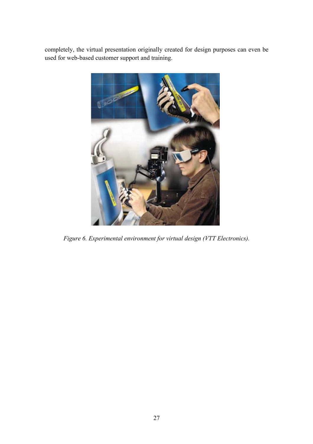completely, the virtual presentation originally created for design purposes can even be used for web-based customer support and training.



*Figure 6. Experimental environment for virtual design (VTT Electronics).*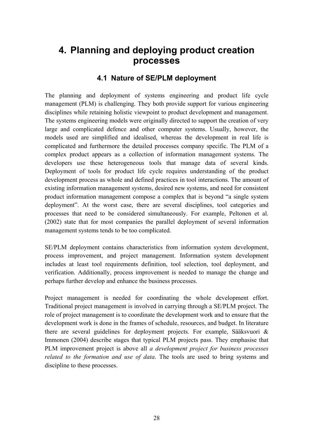## **4. Planning and deploying product creation processes**

#### **4.1 Nature of SE/PLM deployment**

The planning and deployment of systems engineering and product life cycle management (PLM) is challenging. They both provide support for various engineering disciplines while retaining holistic viewpoint to product development and management. The systems engineering models were originally directed to support the creation of very large and complicated defence and other computer systems. Usually, however, the models used are simplified and idealised, whereas the development in real life is complicated and furthermore the detailed processes company specific. The PLM of a complex product appears as a collection of information management systems. The developers use these heterogeneous tools that manage data of several kinds. Deployment of tools for product life cycle requires understanding of the product development process as whole and defined practices in tool interactions. The amount of existing information management systems, desired new systems, and need for consistent product information management compose a complex that is beyond "a single system deployment". At the worst case, there are several disciplines, tool categories and processes that need to be considered simultaneously. For example, Peltonen et al. (2002) state that for most companies the parallel deployment of several information management systems tends to be too complicated.

SE/PLM deployment contains characteristics from information system development, process improvement, and project management. Information system development includes at least tool requirements definition, tool selection, tool deployment, and verification. Additionally, process improvement is needed to manage the change and perhaps further develop and enhance the business processes.

Project management is needed for coordinating the whole development effort. Traditional project management is involved in carrying through a SE/PLM project. The role of project management is to coordinate the development work and to ensure that the development work is done in the frames of schedule, resources, and budget. In literature there are several guidelines for deployment projects. For example, Sääksvuori  $\&$ Immonen (2004) describe stages that typical PLM projects pass. They emphasise that PLM improvement project is above all *a development project for business processes related to the formation and use of data*. The tools are used to bring systems and discipline to these processes.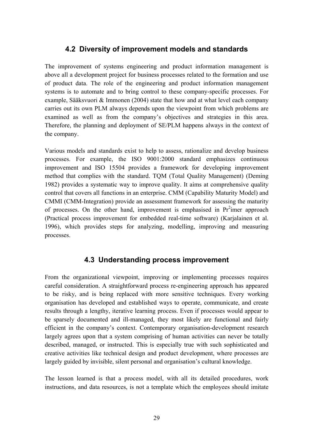#### **4.2 Diversity of improvement models and standards**

The improvement of systems engineering and product information management is above all a development project for business processes related to the formation and use of product data. The role of the engineering and product information management systems is to automate and to bring control to these company-specific processes. For example, Sääksvuori & Immonen (2004) state that how and at what level each company carries out its own PLM always depends upon the viewpoint from which problems are examined as well as from the company's objectives and strategies in this area. Therefore, the planning and deployment of SE/PLM happens always in the context of the company.

Various models and standards exist to help to assess, rationalize and develop business processes. For example, the ISO 9001:2000 standard emphasizes continuous improvement and ISO 15504 provides a framework for developing improvement method that complies with the standard. TQM (Total Quality Management) (Deming 1982) provides a systematic way to improve quality. It aims at comprehensive quality control that covers all functions in an enterprise. CMM (Capability Maturity Model) and CMMI (CMM-Integration) provide an assessment framework for assessing the maturity of processes. On the other hand, improvement is emphasised in  $Pr<sup>2</sup>$  imer approach (Practical process improvement for embedded real-time software) (Karjalainen et al. 1996), which provides steps for analyzing, modelling, improving and measuring processes.

#### **4.3 Understanding process improvement**

From the organizational viewpoint, improving or implementing processes requires careful consideration. A straightforward process re-engineering approach has appeared to be risky, and is being replaced with more sensitive techniques. Every working organisation has developed and established ways to operate, communicate, and create results through a lengthy, iterative learning process. Even if processes would appear to be sparsely documented and ill-managed, they most likely are functional and fairly efficient in the company's context. Contemporary organisation-development research largely agrees upon that a system comprising of human activities can never be totally described, managed, or instructed. This is especially true with such sophisticated and creative activities like technical design and product development, where processes are largely guided by invisible, silent personal and organisation's cultural knowledge.

The lesson learned is that a process model, with all its detailed procedures, work instructions, and data resources, is not a template which the employees should imitate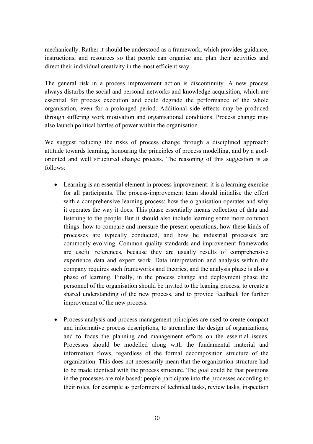mechanically. Rather it should be understood as a framework, which provides guidance, instructions, and resources so that people can organise and plan their activities and direct their individual creativity in the most efficient way.

The general risk in a process improvement action is discontinuity. A new process always disturbs the social and personal networks and knowledge acquisition, which are essential for process execution and could degrade the performance of the whole organisation, even for a prolonged period. Additional side effects may be produced through suffering work motivation and organisational conditions. Process change may also launch political battles of power within the organisation.

We suggest reducing the risks of process change through a disciplined approach: attitude towards learning, honouring the principles of process modelling, and by a goaloriented and well structured change process. The reasoning of this suggestion is as follows:

- Learning is an essential element in process improvement: it is a learning exercise for all participants. The process-improvement team should initialise the effort with a comprehensive learning process: how the organisation operates and why it operates the way it does. This phase essentially means collection of data and listening to the people. But it should also include learning some more common things: how to compare and measure the present operations; how these kinds of processes are typically conducted, and how he industrial processes are commonly evolving. Common quality standards and improvement frameworks are useful references, because they are usually results of comprehensive experience data and expert work. Data interpretation and analysis within the company requires such frameworks and theories, and the analysis phase is also a phase of learning. Finally, in the process change and deployment phase the personnel of the organisation should be invited to the leaning process, to create a shared understanding of the new process, and to provide feedback for further improvement of the new process.
- Process analysis and process management principles are used to create compact and informative process descriptions, to streamline the design of organizations, and to focus the planning and management efforts on the essential issues. Processes should be modelled along with the fundamental material and information flows, regardless of the formal decomposition structure of the organization. This does not necessarily mean that the organization structure had to be made identical with the process structure. The goal could be that positions in the processes are role based: people participate into the processes according to their roles, for example as performers of technical tasks, review tasks, inspection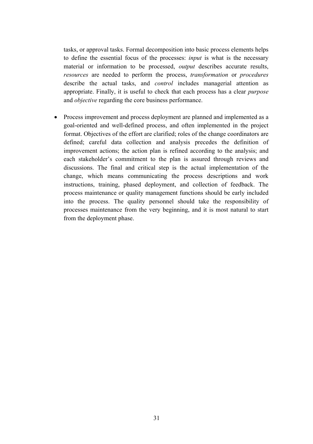tasks, or approval tasks. Formal decomposition into basic process elements helps to define the essential focus of the processes: *input* is what is the necessary material or information to be processed, *output* describes accurate results, *resources* are needed to perform the process, *transformation* or *procedures* describe the actual tasks, and *control* includes managerial attention as appropriate. Finally, it is useful to check that each process has a clear *purpose* and *objective* regarding the core business performance.

• Process improvement and process deployment are planned and implemented as a goal-oriented and well-defined process, and often implemented in the project format. Objectives of the effort are clarified; roles of the change coordinators are defined; careful data collection and analysis precedes the definition of improvement actions; the action plan is refined according to the analysis; and each stakeholder's commitment to the plan is assured through reviews and discussions. The final and critical step is the actual implementation of the change, which means communicating the process descriptions and work instructions, training, phased deployment, and collection of feedback. The process maintenance or quality management functions should be early included into the process. The quality personnel should take the responsibility of processes maintenance from the very beginning, and it is most natural to start from the deployment phase.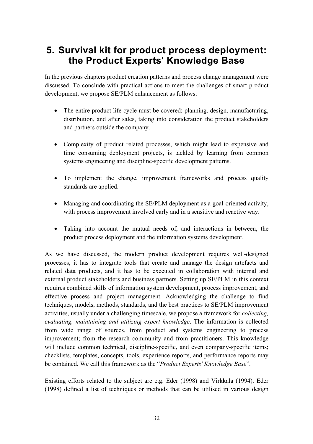## **5. Survival kit for product process deployment: the Product Experts' Knowledge Base**

In the previous chapters product creation patterns and process change management were discussed. To conclude with practical actions to meet the challenges of smart product development, we propose SE/PLM enhancement as follows:

- The entire product life cycle must be covered: planning, design, manufacturing, distribution, and after sales, taking into consideration the product stakeholders and partners outside the company.
- Complexity of product related processes, which might lead to expensive and time consuming deployment projects, is tackled by learning from common systems engineering and discipline-specific development patterns.
- To implement the change, improvement frameworks and process quality standards are applied.
- Managing and coordinating the SE/PLM deployment as a goal-oriented activity, with process improvement involved early and in a sensitive and reactive way.
- Taking into account the mutual needs of, and interactions in between, the product process deployment and the information systems development.

As we have discussed, the modern product development requires well-designed processes, it has to integrate tools that create and manage the design artefacts and related data products, and it has to be executed in collaboration with internal and external product stakeholders and business partners. Setting up SE/PLM in this context requires combined skills of information system development, process improvement, and effective process and project management. Acknowledging the challenge to find techniques, models, methods, standards, and the best practices to SE/PLM improvement activities, usually under a challenging timescale, we propose a framework for *collecting, evaluating, maintaining and utilizing expert knowledge*. The information is collected from wide range of sources, from product and systems engineering to process improvement; from the research community and from practitioners. This knowledge will include common technical, discipline-specific, and even company-specific items; checklists, templates, concepts, tools, experience reports, and performance reports may be contained. We call this framework as the "*Product Experts' Knowledge Base*".

Existing efforts related to the subject are e.g. Eder (1998) and Virkkala (1994). Eder (1998) defined a list of techniques or methods that can be utilised in various design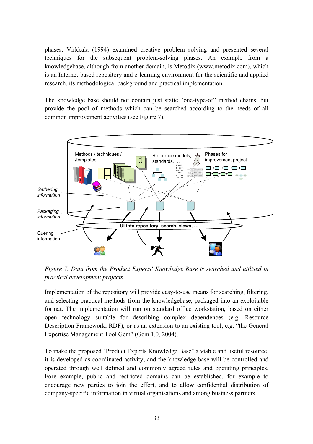phases. Virkkala (1994) examined creative problem solving and presented several techniques for the subsequent problem-solving phases. An example from a knowledgebase, although from another domain, is Metodix (www.metodix.com), which is an Internet-based repository and e-learning environment for the scientific and applied research, its methodological background and practical implementation.

The knowledge base should not contain just static "one-type-of" method chains, but provide the pool of methods which can be searched according to the needs of all common improvement activities (see Figure 7).



*Figure 7. Data from the Product Experts' Knowledge Base is searched and utilised in practical development projects.* 

Implementation of the repository will provide easy-to-use means for searching, filtering, and selecting practical methods from the knowledgebase, packaged into an exploitable format. The implementation will run on standard office workstation, based on either open technology suitable for describing complex dependences (e.g. Resource Description Framework, RDF), or as an extension to an existing tool, e.g. "the General Expertise Management Tool Gem" (Gem 1.0, 2004).

To make the proposed "Product Experts Knowledge Base" a viable and useful resource, it is developed as coordinated activity, and the knowledge base will be controlled and operated through well defined and commonly agreed rules and operating principles. Fore example, public and restricted domains can be established, for example to encourage new parties to join the effort, and to allow confidential distribution of company-specific information in virtual organisations and among business partners.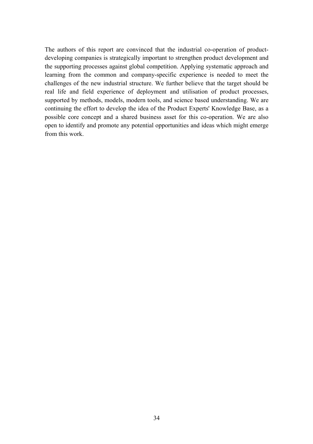The authors of this report are convinced that the industrial co-operation of productdeveloping companies is strategically important to strengthen product development and the supporting processes against global competition. Applying systematic approach and learning from the common and company-specific experience is needed to meet the challenges of the new industrial structure. We further believe that the target should be real life and field experience of deployment and utilisation of product processes, supported by methods, models, modern tools, and science based understanding. We are continuing the effort to develop the idea of the Product Experts' Knowledge Base, as a possible core concept and a shared business asset for this co-operation. We are also open to identify and promote any potential opportunities and ideas which might emerge from this work.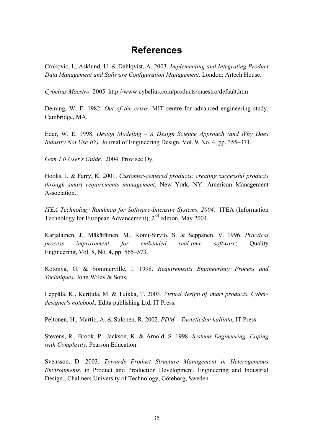### **References**

Crnkovic, I., Asklund, U. & Dahlqvist, A. 2003. *Implementing and Integrating Product Data Management and Software Configuration Management*. London: Artech House.

*Cybelius Maestro.* 2005.<http://www.cybelius.com/products/maestro/default.htm>

Deming, W. E. 1982. *Out of the crisis*. MIT centre for advanced engineering study, Cambridge, MA.

Eder, W. E. 1998. *Design Modeling - A Design Science Approach (and Why Does Industry Not Use It?*). Journal of Engineering Design, Vol. 9, No. 4, pp. 355–371.

*Gem 1.0 User's Guide.* 2004. Provisec Oy*.*

Hooks, I. & Farry, K. 2001. *Customer-centered products: creating successful products through smart requirements management*. New York, NY: American Management **Association** 

*ITEA Technology Roadmap for Software-Intensive Systems. 2004.* ITEA (Information Technology for European Advancement), 2<sup>nd</sup> edition, May 2004.

Karjalainen, J., Mäkäräinen, M., Komi-Sirviö, S. & Seppänen, V. 1996. *Practical process improvement for embedded real-time software*; Quality Engineering, Vol. 8, No. 4, pp.  $565-573$ .

Kotonya, G. & Sommerville, I. 1998. *Requirements Engineering: Process and Techniques*. John Wiley & Sons.

Leppälä, K., Kerttula, M. & Tuikka, T. 2003. *Virtual design of smart products. Cyberdesigner's notebook.* Edita publishing Ltd, IT Press.

Peltonen, H., Martio, A. & Sulonen, R. 2002. *PDM – Tuotetiedon hallinta*, IT Press.

Stevens, R., Brook, P., Jackson, K. & Arnold, S. 1998. *Systems Engineering: Coping with Complexity.* Pearson Education.

Svensson, D. 2003. *Towards Product Structure Management in Heterogeneous Environments,* in Product and Production Development. Engineering and Industrial Design., Chalmers University of Technology, Göteborg, Sweden.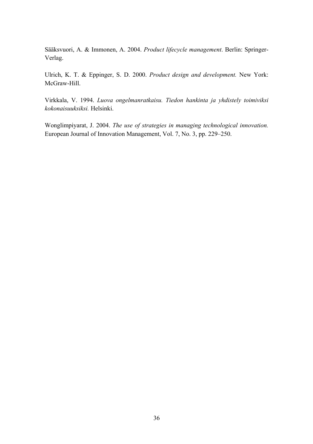S‰‰ksvuori, A. & Immonen, A. 2004. *Product lifecycle management*. Berlin: Springer-Verlag.

Ulrich, K. T. & Eppinger, S. D. 2000. *Product design and development.* New York: McGraw-Hill.

Virkkala, V. 1994. *Luova ongelmanratkaisu. Tiedon hankinta ja yhdistely toimiviksi kokonaisuuksiksi.* Helsinki.

Wonglimpiyarat, J. 2004. *The use of strategies in managing technological innovation.* European Journal of Innovation Management, Vol. 7, No. 3, pp. 229–250.